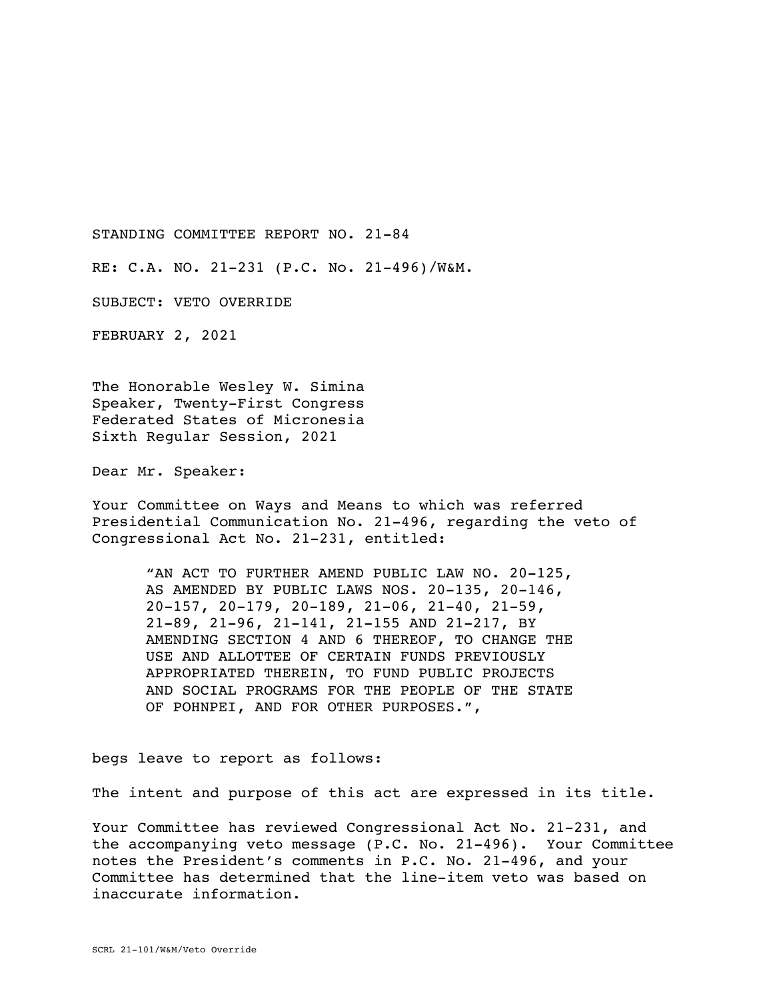STANDING COMMITTEE REPORT NO. 21-84

RE: C.A. NO. 21-231 (P.C. No. 21-496)/W&M.

SUBJECT: VETO OVERRIDE

FEBRUARY 2, 2021

The Honorable Wesley W. Simina Speaker, Twenty-First Congress Federated States of Micronesia Sixth Regular Session, 2021

Dear Mr. Speaker:

Your Committee on Ways and Means to which was referred Presidential Communication No. 21-496, regarding the veto of Congressional Act No. 21-231, entitled:

"AN ACT TO FURTHER AMEND PUBLIC LAW NO. 20-125, AS AMENDED BY PUBLIC LAWS NOS. 20-135, 20-146, 20-157, 20-179, 20-189, 21-06, 21-40, 21-59, 21-89, 21-96, 21-141, 21-155 AND 21-217, BY AMENDING SECTION 4 AND 6 THEREOF, TO CHANGE THE USE AND ALLOTTEE OF CERTAIN FUNDS PREVIOUSLY APPROPRIATED THEREIN, TO FUND PUBLIC PROJECTS AND SOCIAL PROGRAMS FOR THE PEOPLE OF THE STATE OF POHNPEI, AND FOR OTHER PURPOSES.",

begs leave to report as follows:

The intent and purpose of this act are expressed in its title.

Your Committee has reviewed Congressional Act No. 21-231, and the accompanying veto message (P.C. No. 21-496). Your Committee notes the President's comments in P.C. No. 21-496, and your Committee has determined that the line-item veto was based on inaccurate information.